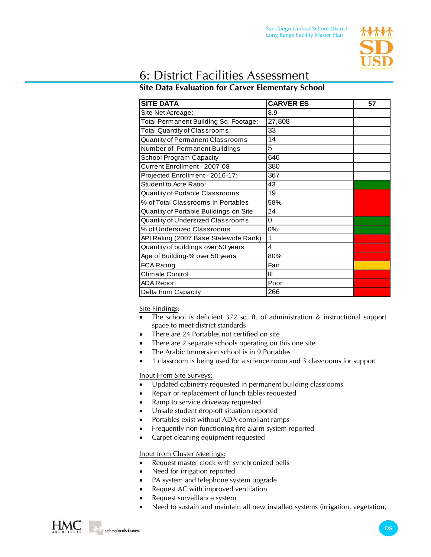

# 6: District Facilities Assessment

## **Site Data Evaluation for Carver Elementary School**

| <b>SITE DATA</b>                       | <b>CARVER ES</b> | 57 |
|----------------------------------------|------------------|----|
| Site Net Acreage:                      | 8.9              |    |
| Total Permanent Building Sq. Footage:  | 27,808           |    |
| Total Quantity of Classrooms:          | 33               |    |
| Quantity of Permanent Classrooms       | 14               |    |
| Number of Permanent Buildings          | 5                |    |
| <b>School Program Capacity</b>         | 646              |    |
| Current Enrollment - 2007-08           | 380              |    |
| Projected Enrollment - 2016-17:        | 367              |    |
| Student to Acre Ratio:                 | 43               |    |
| Quantity of Portable Classrooms        | 19               |    |
| % of Total Classrooms in Portables     | 58%              |    |
| Quantity of Portable Buildings on Site | 24               |    |
| Quantity of Undersized Classrooms      | 0                |    |
| % of Undersized Classrooms             | 0%               |    |
| API Rating (2007 Base Statewide Rank)  | 1                |    |
| Quantity of buildings over 50 years    | 4                |    |
| Age of Building-% over 50 years        | 80%              |    |
| <b>FCA Rating</b>                      | Fair             |    |
| <b>Climate Control</b>                 | Ш                |    |
| <b>ADA Report</b>                      | Poor             |    |
| Delta from Capacity                    | 266              |    |

Site Findings:

- The school is deficient 372 sq. ft. of administration  $\&$  instructional support space to meet district standards
- There are 24 Portables not certified on site
- There are 2 separate schools operating on this one site
- The Arabic Immersion school is in 9 Portables
- 1 classroom is being used for a science room and 3 classrooms for support

### Input From Site Surveys:

- Updated cabinetry requested in permanent building classrooms
- Repair or replacement of lunch tables requested
- Ramp to service driveway requested
- Unsafe student drop-off situation reported
- Portables exist without ADA compliant ramps
- Frequently non-functioning fire alarm system reported
- Carpet cleaning equipment requested

### Input from Cluster Meetings:

- Request master clock with synchronized bells
- Need for irrigation reported
- PA system and telephone system upgrade
- Request AC with improved ventilation
- Request surveillance system
- Need to sustain and maintain all new installed systems (irrigation, vegetation,